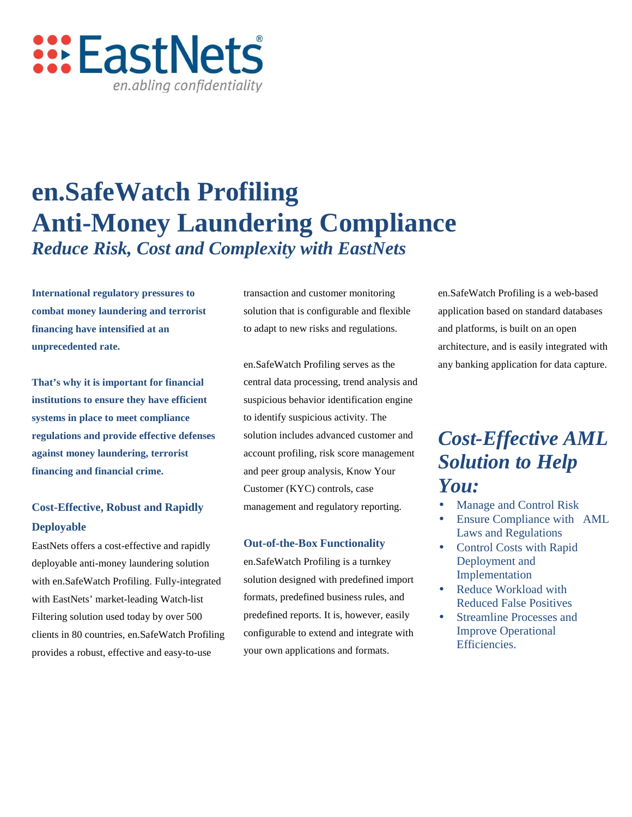

# **en.SafeWatch Profiling Anti-Money Laundering Compliance** *Reduce Risk, Cost and Complexity with EastNets*

**International regulatory pressures to combat money laundering and terrorist financing have intensified at an unprecedented rate.** 

**That's why it is important for financial institutions to ensure they have efficient systems in place to meet compliance regulations and provide effective defenses against money laundering, terrorist financing and financial crime.**

## **Cost-Effective, Robust and Rapidly Deployable**

EastNets offers a cost-effective and rapidly deployable anti-money laundering solution with en.SafeWatch Profiling. Fully-integrated with EastNets' market-leading Watch-list Filtering solution used today by over 500 clients in 80 countries, en.SafeWatch Profiling provides a robust, effective and easy-to-use

transaction and customer monitoring solution that is configurable and flexible to adapt to new risks and regulations.

en.SafeWatch Profiling serves as the central data processing, trend analysis and suspicious behavior identification engine to identify suspicious activity. The solution includes advanced customer and account profiling, risk score management and peer group analysis, Know Your Customer (KYC) controls, case management and regulatory reporting.

#### **Out-of-the-Box Functionality**

en.SafeWatch Profiling is a turnkey solution designed with predefined import formats, predefined business rules, and predefined reports. It is, however, easily configurable to extend and integrate with your own applications and formats.

en.SafeWatch Profiling is a web-based application based on standard databases and platforms, is built on an open architecture, and is easily integrated with any banking application for data capture.

# *Cost-Effective AML Solution to Help You:*

- Manage and Control Risk
- Ensure Compliance with AML Laws and Regulations
- Control Costs with Rapid Deployment and Implementation
- Reduce Workload with Reduced False Positives
- Streamline Processes and Improve Operational Efficiencies.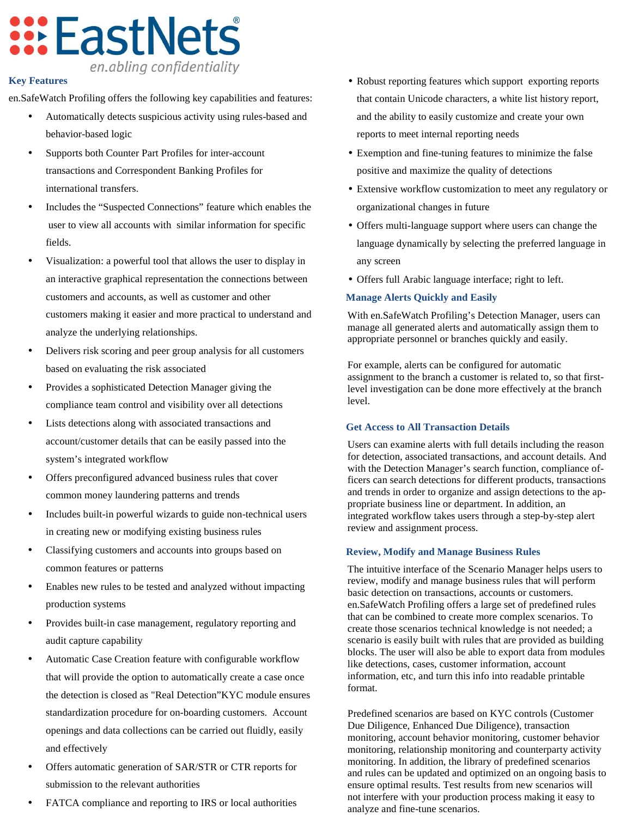# **:::EastNets** en.abling confidentiality

### **Key Features**

en.SafeWatch Profiling offers the following key capabilities and features:

- Automatically detects suspicious activity using rules-based and behavior-based logic
- Supports both Counter Part Profiles for inter-account transactions and Correspondent Banking Profiles for international transfers.
- Includes the "Suspected Connections" feature which enables the user to view all accounts with similar information for specific fields.
- Visualization: a powerful tool that allows the user to display in an interactive graphical representation the connections between customers and accounts, as well as customer and other customers making it easier and more practical to understand and analyze the underlying relationships.
- Delivers risk scoring and peer group analysis for all customers based on evaluating the risk associated
- Provides a sophisticated Detection Manager giving the compliance team control and visibility over all detections
- Lists detections along with associated transactions and account/customer details that can be easily passed into the system's integrated workflow
- Offers preconfigured advanced business rules that cover common money laundering patterns and trends
- Includes built-in powerful wizards to guide non-technical users in creating new or modifying existing business rules
- Classifying customers and accounts into groups based on common features or patterns
- Enables new rules to be tested and analyzed without impacting production systems
- Provides built-in case management, regulatory reporting and audit capture capability
- Automatic Case Creation feature with configurable workflow that will provide the option to automatically create a case once the detection is closed as "Real Detection"KYC module ensures standardization procedure for on-boarding customers. Account openings and data collections can be carried out fluidly, easily and effectively
- Offers automatic generation of SAR/STR or CTR reports for submission to the relevant authorities
- FATCA compliance and reporting to IRS or local authorities
- Robust reporting features which support exporting reports that contain Unicode characters, a white list history report, and the ability to easily customize and create your own reports to meet internal reporting needs
- Exemption and fine-tuning features to minimize the false positive and maximize the quality of detections
- Extensive workflow customization to meet any regulatory or organizational changes in future
- Offers multi-language support where users can change the language dynamically by selecting the preferred language in any screen
- Offers full Arabic language interface; right to left.

#### **Manage Alerts Quickly and Easily**

With en.SafeWatch Profiling's Detection Manager, users can manage all generated alerts and automatically assign them to appropriate personnel or branches quickly and easily.

For example, alerts can be configured for automatic assignment to the branch a customer is related to, so that firstlevel investigation can be done more effectively at the branch level.

#### **Get Access to All Transaction Details**

Users can examine alerts with full details including the reason for detection, associated transactions, and account details. And with the Detection Manager's search function, compliance officers can search detections for different products, transactions and trends in order to organize and assign detections to the appropriate business line or department. In addition, an integrated workflow takes users through a step-by-step alert review and assignment process.

#### **Review, Modify and Manage Business Rules**

The intuitive interface of the Scenario Manager helps users to review, modify and manage business rules that will perform basic detection on transactions, accounts or customers. en.SafeWatch Profiling offers a large set of predefined rules that can be combined to create more complex scenarios. To create those scenarios technical knowledge is not needed; a scenario is easily built with rules that are provided as building blocks. The user will also be able to export data from modules like detections, cases, customer information, account information, etc, and turn this info into readable printable format.

Predefined scenarios are based on KYC controls (Customer Due Diligence, Enhanced Due Diligence), transaction monitoring, account behavior monitoring, customer behavior monitoring, relationship monitoring and counterparty activity monitoring. In addition, the library of predefined scenarios and rules can be updated and optimized on an ongoing basis to ensure optimal results. Test results from new scenarios will not interfere with your production process making it easy to analyze and fine-tune scenarios.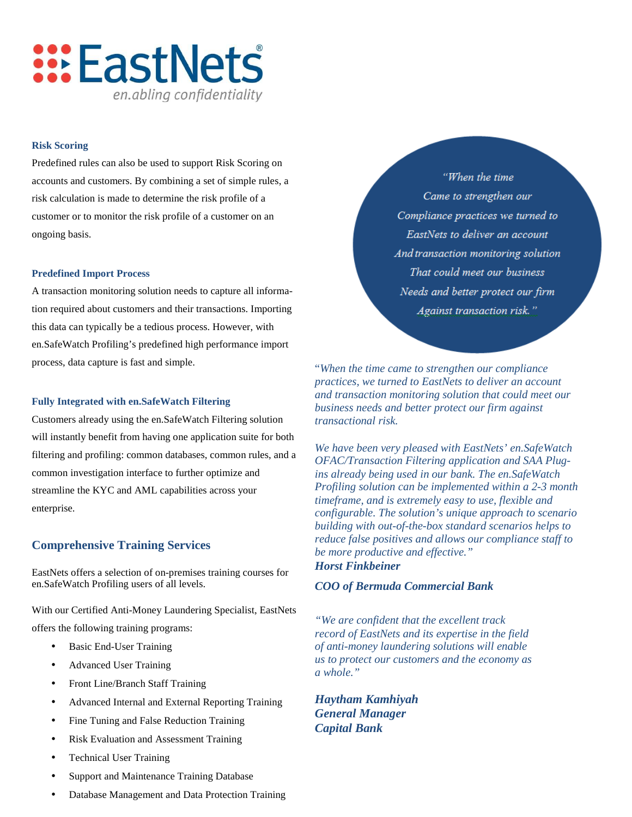

#### **Risk Scoring**

Predefined rules can also be used to support Risk Scoring on accounts and customers. By combining a set of simple rules, a risk calculation is made to determine the risk profile of a customer or to monitor the risk profile of a customer on an ongoing basis.

#### **Predefined Import Process**

A transaction monitoring solution needs to capture all information required about customers and their transactions. Importing this data can typically be a tedious process. However, with en.SafeWatch Profiling's predefined high performance import process, data capture is fast and simple.

#### **Fully Integrated with en.SafeWatch Filtering**

Customers already using the en.SafeWatch Filtering solution will instantly benefit from having one application suite for both filtering and profiling: common databases, common rules, and a common investigation interface to further optimize and streamline the KYC and AML capabilities across your enterprise.

### **Comprehensive Training Services**

EastNets offers a selection of on-premises training courses for en.SafeWatch Profiling users of all levels.

With our Certified Anti-Money Laundering Specialist, EastNets offers the following training programs:

- Basic End-User Training
- Advanced User Training
- Front Line/Branch Staff Training
- Advanced Internal and External Reporting Training
- Fine Tuning and False Reduction Training
- Risk Evaluation and Assessment Training
- Technical User Training
- Support and Maintenance Training Database
- Database Management and Data Protection Training

"When the time Came to strengthen our Compliance practices we turned to EastNets to deliver an account And transaction monitoring solution That could meet our business Needs and better protect our firm Against transaction risk."

"*When the time came to strengthen our compliance practices, we turned to EastNets to deliver an account and transaction monitoring solution that could meet our business needs and better protect our firm against transactional risk.* 

*We have been very pleased with EastNets' en.SafeWatch OFAC/Transaction Filtering application and SAA Plugins already being used in our bank. The en.SafeWatch Profiling solution can be implemented within a 2-3 month timeframe, and is extremely easy to use, flexible and configurable. The solution's unique approach to scenario building with out-of-the-box standard scenarios helps to reduce false positives and allows our compliance staff to be more productive and effective." Horst Finkbeiner*

#### *COO of Bermuda Commercial Bank*

*"We are confident that the excellent track record of EastNets and its expertise in the field of anti-money laundering solutions will enable us to protect our customers and the economy as a whole."* 

*Haytham Kamhiyah General Manager Capital Bank*